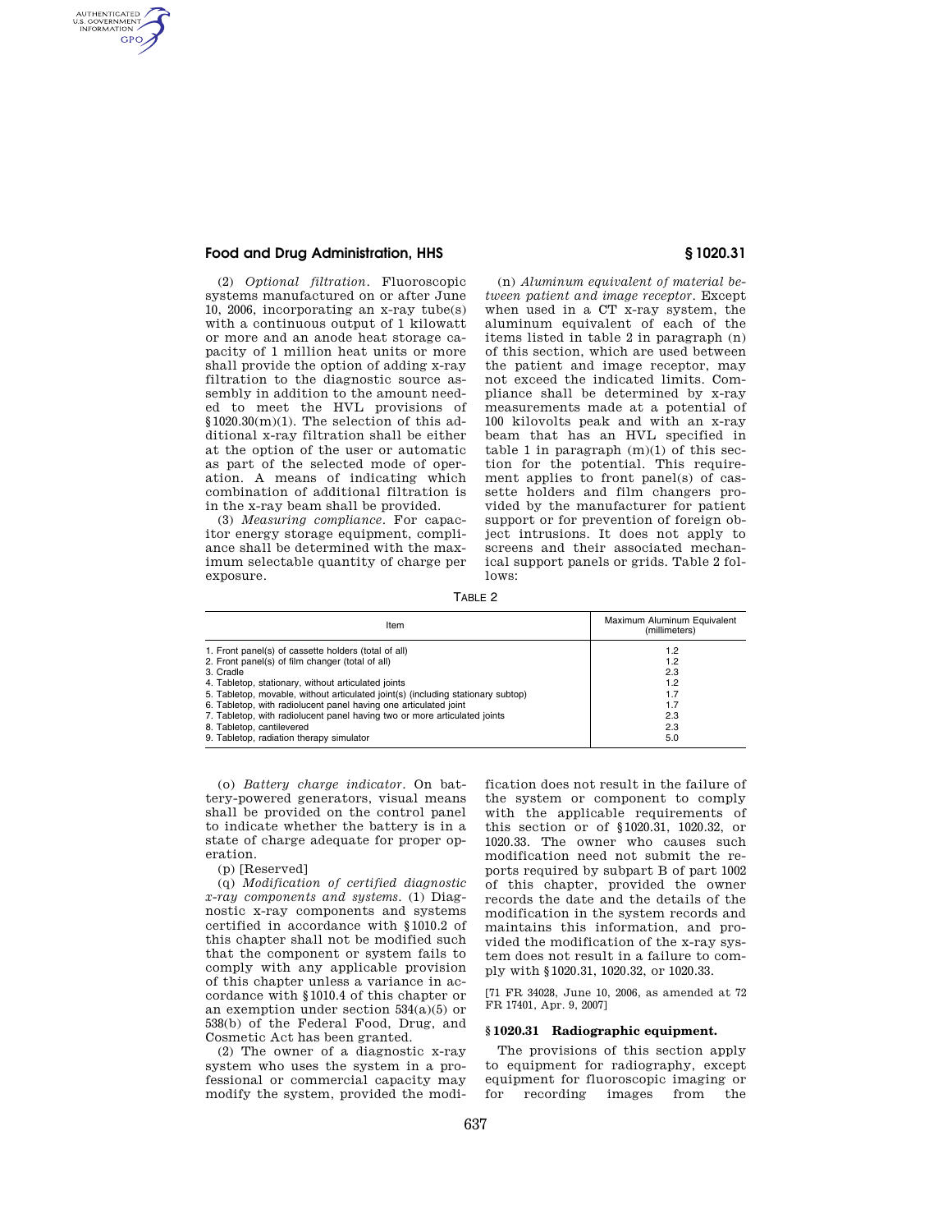AUTHENTICATED<br>U.S. GOVERNMENT<br>INFORMATION GPO

> (2) *Optional filtration*. Fluoroscopic systems manufactured on or after June 10, 2006, incorporating an x-ray tube(s) with a continuous output of 1 kilowatt or more and an anode heat storage capacity of 1 million heat units or more shall provide the option of adding x-ray filtration to the diagnostic source assembly in addition to the amount needed to meet the HVL provisions of  $$1020.30(m)(1)$ . The selection of this additional x-ray filtration shall be either at the option of the user or automatic as part of the selected mode of operation. A means of indicating which combination of additional filtration is in the x-ray beam shall be provided.

(3) *Measuring compliance*. For capacitor energy storage equipment, compliance shall be determined with the maximum selectable quantity of charge per exposure.

(n) *Aluminum equivalent of material between patient and image receptor*. Except when used in a CT x-ray system, the aluminum equivalent of each of the items listed in table 2 in paragraph (n) of this section, which are used between the patient and image receptor, may not exceed the indicated limits. Compliance shall be determined by x-ray measurements made at a potential of 100 kilovolts peak and with an x-ray beam that has an HVL specified in table 1 in paragraph  $(m)(1)$  of this section for the potential. This requirement applies to front panel(s) of cassette holders and film changers provided by the manufacturer for patient support or for prevention of foreign object intrusions. It does not apply to screens and their associated mechanical support panels or grids. Table 2 follows:

TABLE 2

| Item                                                                             | Maximum Aluminum Equivalent<br>(millimeters) |
|----------------------------------------------------------------------------------|----------------------------------------------|
| 1. Front panel(s) of cassette holders (total of all)                             | 1.2                                          |
| 2. Front panel(s) of film changer (total of all)                                 | 1.2                                          |
| 3. Cradle                                                                        | 2.3                                          |
| 4. Tabletop, stationary, without articulated joints                              | 1.2                                          |
| 5. Tabletop, movable, without articulated joint(s) (including stationary subtop) | 1.7                                          |
| 6. Tabletop, with radiolucent panel having one articulated joint                 | 1.7                                          |
| 7. Tabletop, with radiolucent panel having two or more articulated joints        | 2.3                                          |
| 8. Tabletop, cantilevered                                                        | 2.3                                          |
| 9. Tabletop, radiation therapy simulator                                         | 5.0                                          |

(o) *Battery charge indicator*. On battery-powered generators, visual means shall be provided on the control panel to indicate whether the battery is in a state of charge adequate for proper operation.

(p) [Reserved]

(q) *Modification of certified diagnostic x-ray components and systems*. (1) Diagnostic x-ray components and systems certified in accordance with §1010.2 of this chapter shall not be modified such that the component or system fails to comply with any applicable provision of this chapter unless a variance in accordance with §1010.4 of this chapter or an exemption under section 534(a)(5) or 538(b) of the Federal Food, Drug, and Cosmetic Act has been granted.

(2) The owner of a diagnostic x-ray system who uses the system in a professional or commercial capacity may modify the system, provided the modi-

fication does not result in the failure of the system or component to comply with the applicable requirements of this section or of §1020.31, 1020.32, or 1020.33. The owner who causes such modification need not submit the reports required by subpart B of part 1002 of this chapter, provided the owner records the date and the details of the modification in the system records and maintains this information, and provided the modification of the x-ray system does not result in a failure to comply with §1020.31, 1020.32, or 1020.33.

[71 FR 34028, June 10, 2006, as amended at 72 FR 17401, Apr. 9, 2007]

#### **§ 1020.31 Radiographic equipment.**

The provisions of this section apply to equipment for radiography, except equipment for fluoroscopic imaging or for recording images from the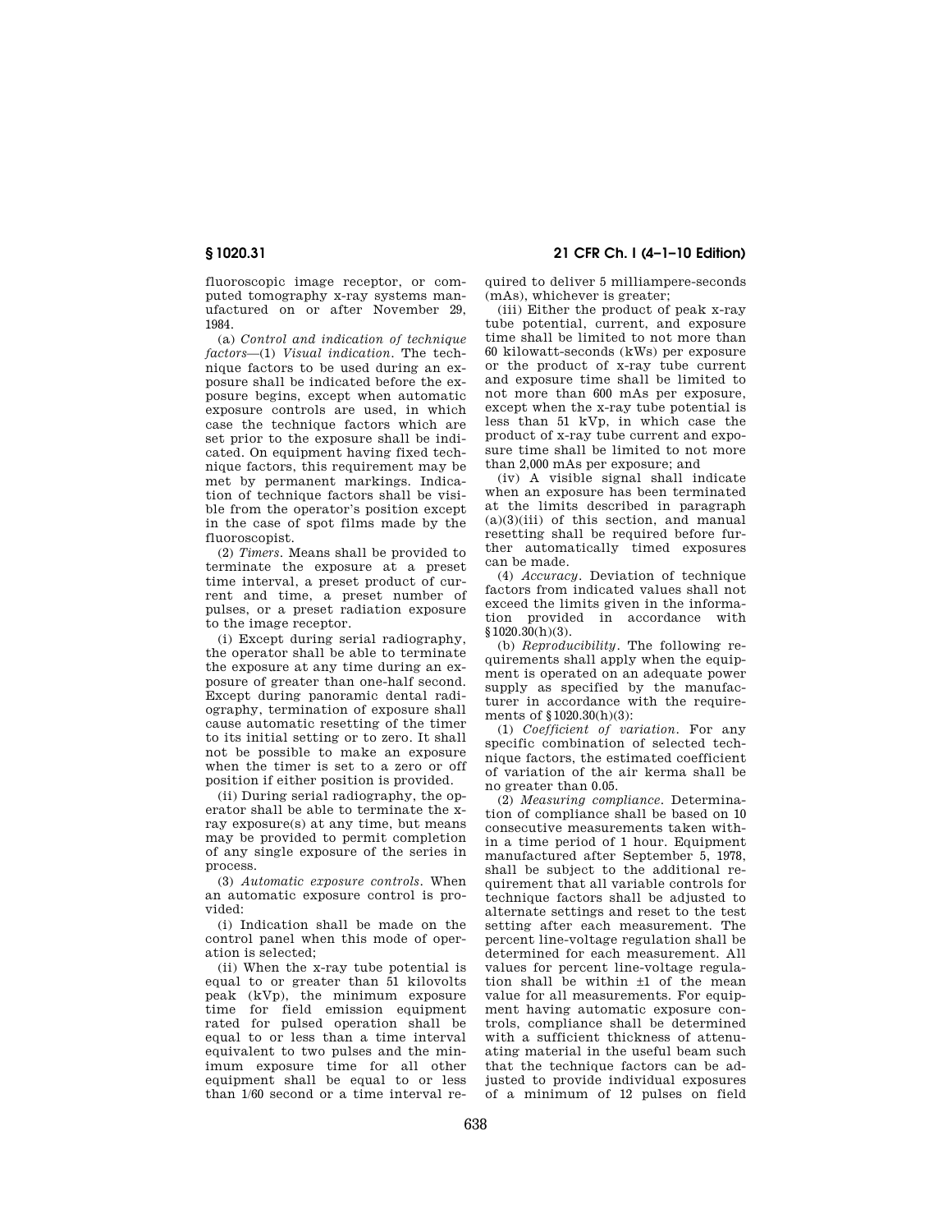fluoroscopic image receptor, or computed tomography x-ray systems manufactured on or after November 29, 1984.

(a) *Control and indication of technique factors*—(1) *Visual indication*. The technique factors to be used during an exposure shall be indicated before the exposure begins, except when automatic exposure controls are used, in which case the technique factors which are set prior to the exposure shall be indicated. On equipment having fixed technique factors, this requirement may be met by permanent markings. Indication of technique factors shall be visible from the operator's position except in the case of spot films made by the fluoroscopist.

(2) *Timers*. Means shall be provided to terminate the exposure at a preset time interval, a preset product of current and time, a preset number of pulses, or a preset radiation exposure to the image receptor.

(i) Except during serial radiography, the operator shall be able to terminate the exposure at any time during an exposure of greater than one-half second. Except during panoramic dental radiography, termination of exposure shall cause automatic resetting of the timer to its initial setting or to zero. It shall not be possible to make an exposure when the timer is set to a zero or off position if either position is provided.

(ii) During serial radiography, the operator shall be able to terminate the xray exposure(s) at any time, but means may be provided to permit completion of any single exposure of the series in process.

(3) *Automatic exposure controls*. When an automatic exposure control is provided:

(i) Indication shall be made on the control panel when this mode of operation is selected;

(ii) When the x-ray tube potential is equal to or greater than 51 kilovolts peak (kVp), the minimum exposure time for field emission equipment rated for pulsed operation shall be equal to or less than a time interval equivalent to two pulses and the minimum exposure time for all other equipment shall be equal to or less than 1/60 second or a time interval re-

**§ 1020.31 21 CFR Ch. I (4–1–10 Edition)** 

quired to deliver 5 milliampere-seconds (mAs), whichever is greater;

(iii) Either the product of peak x-ray tube potential, current, and exposure time shall be limited to not more than 60 kilowatt-seconds (kWs) per exposure or the product of x-ray tube current and exposure time shall be limited to not more than 600 mAs per exposure, except when the x-ray tube potential is less than 51 kVp, in which case the product of x-ray tube current and exposure time shall be limited to not more than 2,000 mAs per exposure; and

(iv) A visible signal shall indicate when an exposure has been terminated at the limits described in paragraph  $(a)(3)(iii)$  of this section, and manual resetting shall be required before further automatically timed exposures can be made.

(4) *Accuracy*. Deviation of technique factors from indicated values shall not exceed the limits given in the information provided in accordance with  $$1020.30(h)(3)$ .

(b) *Reproducibility*. The following requirements shall apply when the equipment is operated on an adequate power supply as specified by the manufacturer in accordance with the requirements of §1020.30(h)(3):

(1) *Coefficient of variation*. For any specific combination of selected technique factors, the estimated coefficient of variation of the air kerma shall be no greater than 0.05.

(2) *Measuring compliance*. Determination of compliance shall be based on 10 consecutive measurements taken within a time period of 1 hour. Equipment manufactured after September 5, 1978, shall be subject to the additional requirement that all variable controls for technique factors shall be adjusted to alternate settings and reset to the test setting after each measurement. The percent line-voltage regulation shall be determined for each measurement. All values for percent line-voltage regulation shall be within ±1 of the mean value for all measurements. For equipment having automatic exposure controls, compliance shall be determined with a sufficient thickness of attenuating material in the useful beam such that the technique factors can be adjusted to provide individual exposures of a minimum of 12 pulses on field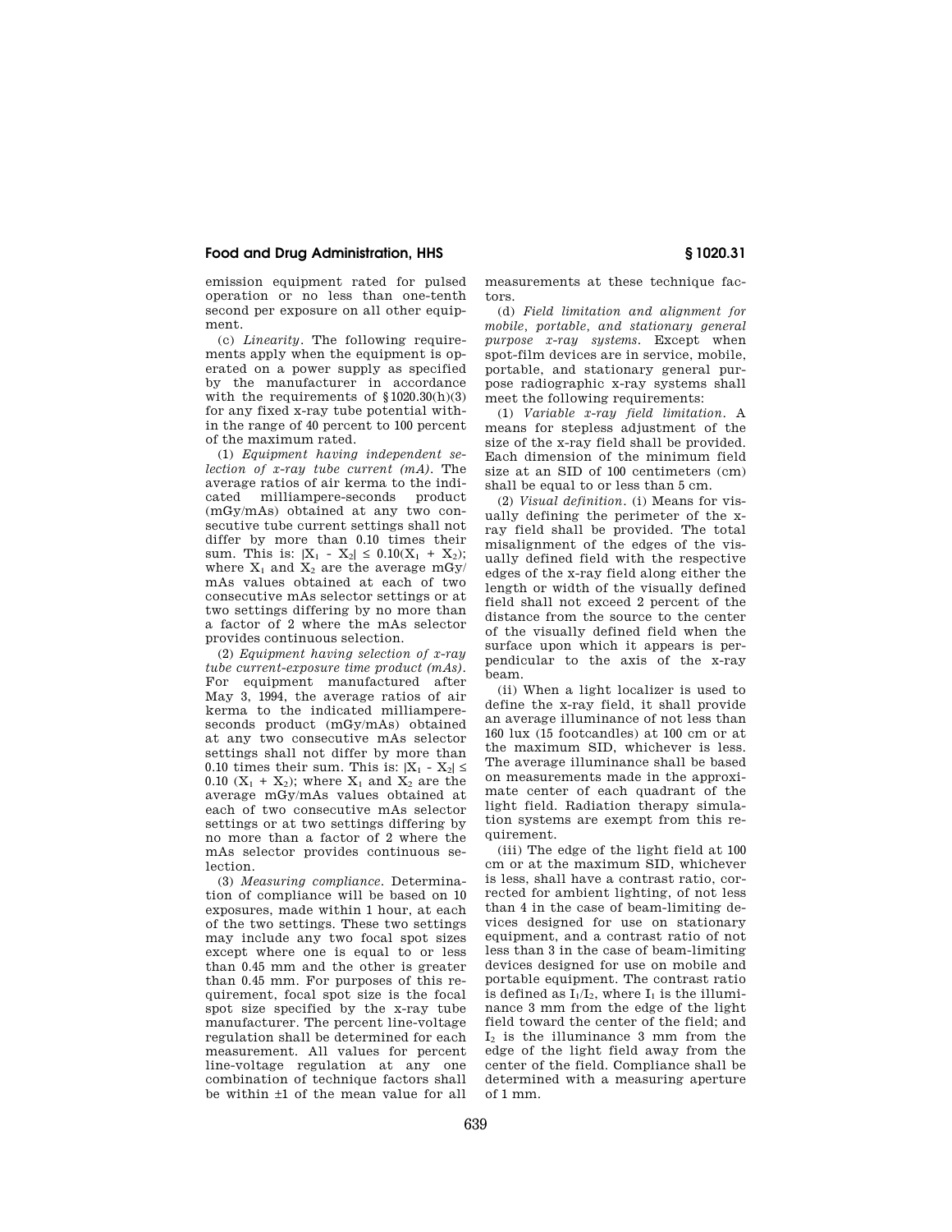emission equipment rated for pulsed operation or no less than one-tenth second per exposure on all other equipment.

(c) *Linearity*. The following requirements apply when the equipment is operated on a power supply as specified by the manufacturer in accordance with the requirements of  $$1020.30(h)(3)$ for any fixed x-ray tube potential within the range of 40 percent to 100 percent of the maximum rated.

(1) *Equipment having independent selection of x-ray tube current (mA)*. The average ratios of air kerma to the indicated milliampere-seconds product (mGy/mAs) obtained at any two consecutive tube current settings shall not differ by more than 0.10 times their sum. This is:  $|X_1 - X_2| \leq 0.10(X_1 + X_2);$ where  $X_1$  and  $X_2$  are the average mGy/ mAs values obtained at each of two consecutive mAs selector settings or at two settings differing by no more than a factor of 2 where the mAs selector provides continuous selection.

(2) *Equipment having selection of x-ray tube current-exposure time product (mAs)*. For equipment manufactured after May 3, 1994, the average ratios of air kerma to the indicated milliampereseconds product (mGy/mAs) obtained at any two consecutive mAs selector settings shall not differ by more than 0.10 times their sum. This is:  $|X_1 - X_2|$ 0.10  $(X_1 + X_2)$ ; where  $X_1$  and  $X_2$  are the average mGy/mAs values obtained at each of two consecutive mAs selector settings or at two settings differing by no more than a factor of 2 where the mAs selector provides continuous selection.

(3) *Measuring compliance*. Determination of compliance will be based on 10 exposures, made within 1 hour, at each of the two settings. These two settings may include any two focal spot sizes except where one is equal to or less than 0.45 mm and the other is greater than 0.45 mm. For purposes of this requirement, focal spot size is the focal spot size specified by the x-ray tube manufacturer. The percent line-voltage regulation shall be determined for each measurement. All values for percent line-voltage regulation at any one combination of technique factors shall be within ±1 of the mean value for all measurements at these technique factors.

(d) *Field limitation and alignment for mobile, portable, and stationary general purpose x-ray systems*. Except when spot-film devices are in service, mobile, portable, and stationary general purpose radiographic x-ray systems shall meet the following requirements:

(1) *Variable x-ray field limitation*. A means for stepless adjustment of the size of the x-ray field shall be provided. Each dimension of the minimum field size at an SID of 100 centimeters (cm) shall be equal to or less than 5 cm.

(2) *Visual definition*. (i) Means for visually defining the perimeter of the xray field shall be provided. The total misalignment of the edges of the visually defined field with the respective edges of the x-ray field along either the length or width of the visually defined field shall not exceed 2 percent of the distance from the source to the center of the visually defined field when the surface upon which it appears is perpendicular to the axis of the x-ray beam.

(ii) When a light localizer is used to define the x-ray field, it shall provide an average illuminance of not less than 160 lux (15 footcandles) at 100 cm or at the maximum SID, whichever is less. The average illuminance shall be based on measurements made in the approximate center of each quadrant of the light field. Radiation therapy simulation systems are exempt from this requirement.

(iii) The edge of the light field at 100 cm or at the maximum SID, whichever is less, shall have a contrast ratio, corrected for ambient lighting, of not less than 4 in the case of beam-limiting devices designed for use on stationary equipment, and a contrast ratio of not less than 3 in the case of beam-limiting devices designed for use on mobile and portable equipment. The contrast ratio is defined as  $I_1/I_2$ , where  $I_1$  is the illuminance 3 mm from the edge of the light field toward the center of the field; and I<sup>2</sup> is the illuminance 3 mm from the edge of the light field away from the center of the field. Compliance shall be determined with a measuring aperture of 1 mm.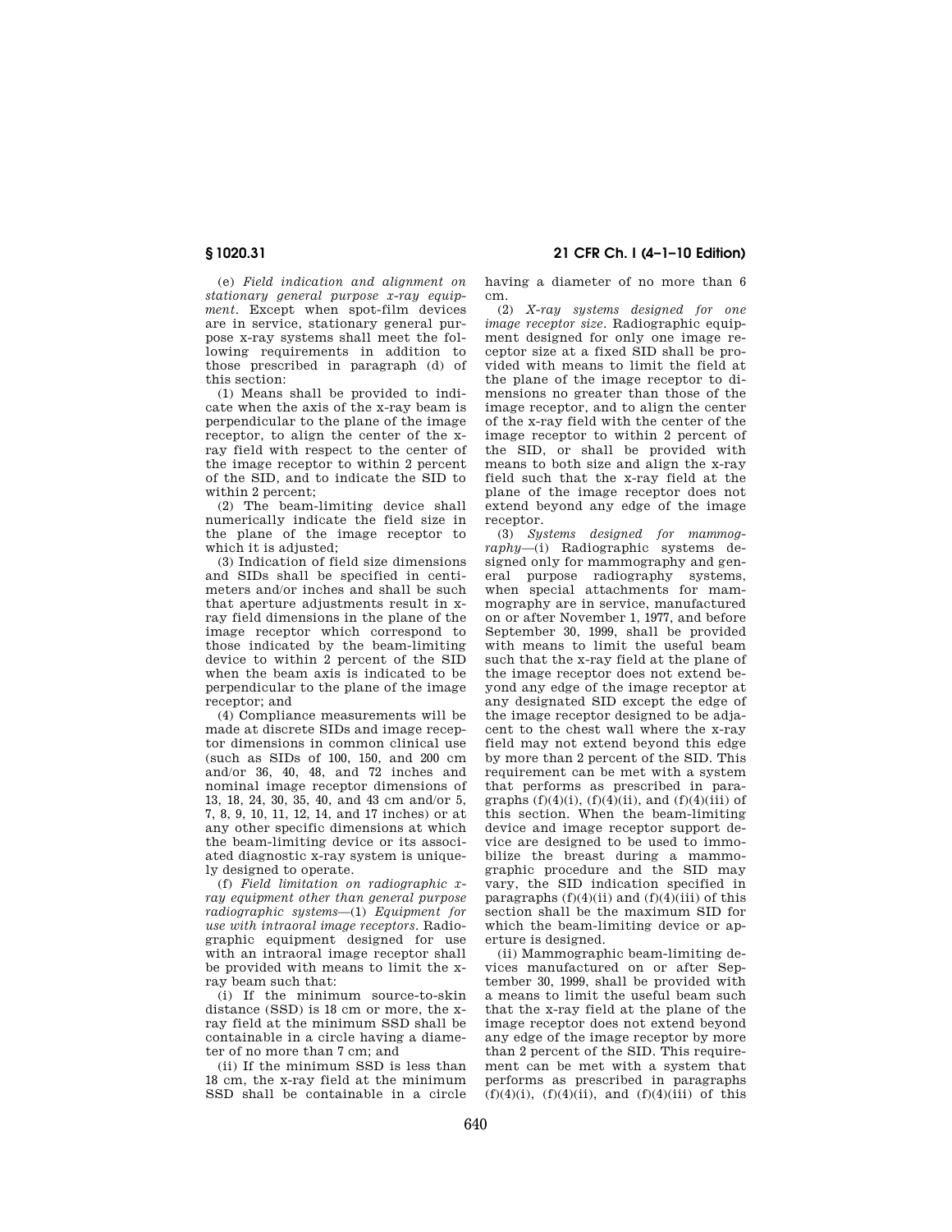(e) *Field indication and alignment on stationary general purpose x-ray equipment*. Except when spot-film devices are in service, stationary general purpose x-ray systems shall meet the following requirements in addition to those prescribed in paragraph (d) of this section:

(1) Means shall be provided to indicate when the axis of the x-ray beam is perpendicular to the plane of the image receptor, to align the center of the xray field with respect to the center of the image receptor to within 2 percent of the SID, and to indicate the SID to within 2 percent;

(2) The beam-limiting device shall numerically indicate the field size in the plane of the image receptor to which it is adjusted:

(3) Indication of field size dimensions and SIDs shall be specified in centimeters and/or inches and shall be such that aperture adjustments result in xray field dimensions in the plane of the image receptor which correspond to those indicated by the beam-limiting device to within 2 percent of the SID when the beam axis is indicated to be perpendicular to the plane of the image receptor; and

(4) Compliance measurements will be made at discrete SIDs and image receptor dimensions in common clinical use (such as SIDs of 100, 150, and 200 cm and/or 36, 40, 48, and 72 inches and nominal image receptor dimensions of 13, 18, 24, 30, 35, 40, and 43 cm and/or 5, 7, 8, 9, 10, 11, 12, 14, and 17 inches) or at any other specific dimensions at which the beam-limiting device or its associated diagnostic x-ray system is uniquely designed to operate.

(f) *Field limitation on radiographic xray equipment other than general purpose radiographic systems*—(1) *Equipment for use with intraoral image receptors*. Radiographic equipment designed for use with an intraoral image receptor shall be provided with means to limit the xray beam such that:

(i) If the minimum source-to-skin distance (SSD) is 18 cm or more, the xray field at the minimum SSD shall be containable in a circle having a diameter of no more than 7 cm; and

(ii) If the minimum SSD is less than 18 cm, the x-ray field at the minimum SSD shall be containable in a circle

**§ 1020.31 21 CFR Ch. I (4–1–10 Edition)** 

having a diameter of no more than 6 cm.

(2) *X-ray systems designed for one image receptor size*. Radiographic equipment designed for only one image receptor size at a fixed SID shall be provided with means to limit the field at the plane of the image receptor to dimensions no greater than those of the image receptor, and to align the center of the x-ray field with the center of the image receptor to within 2 percent of the SID, or shall be provided with means to both size and align the x-ray field such that the x-ray field at the plane of the image receptor does not extend beyond any edge of the image receptor.

(3) *Systems designed for mammography*—(i) Radiographic systems designed only for mammography and general purpose radiography systems, when special attachments for mammography are in service, manufactured on or after November 1, 1977, and before September 30, 1999, shall be provided with means to limit the useful beam such that the x-ray field at the plane of the image receptor does not extend beyond any edge of the image receptor at any designated SID except the edge of the image receptor designed to be adjacent to the chest wall where the x-ray field may not extend beyond this edge by more than 2 percent of the SID. This requirement can be met with a system that performs as prescribed in paragraphs  $(f)(4)(i)$ ,  $(f)(4)(ii)$ , and  $(f)(4)(iii)$  of this section. When the beam-limiting device and image receptor support device are designed to be used to immobilize the breast during a mammographic procedure and the SID may vary, the SID indication specified in paragraphs  $(f)(4)(ii)$  and  $(f)(4)(iii)$  of this section shall be the maximum SID for which the beam-limiting device or aperture is designed.

(ii) Mammographic beam-limiting devices manufactured on or after September 30, 1999, shall be provided with a means to limit the useful beam such that the x-ray field at the plane of the image receptor does not extend beyond any edge of the image receptor by more than 2 percent of the SID. This requirement can be met with a system that performs as prescribed in paragraphs  $(f)(4)(i)$ ,  $(f)(4)(ii)$ , and  $(f)(4)(iii)$  of this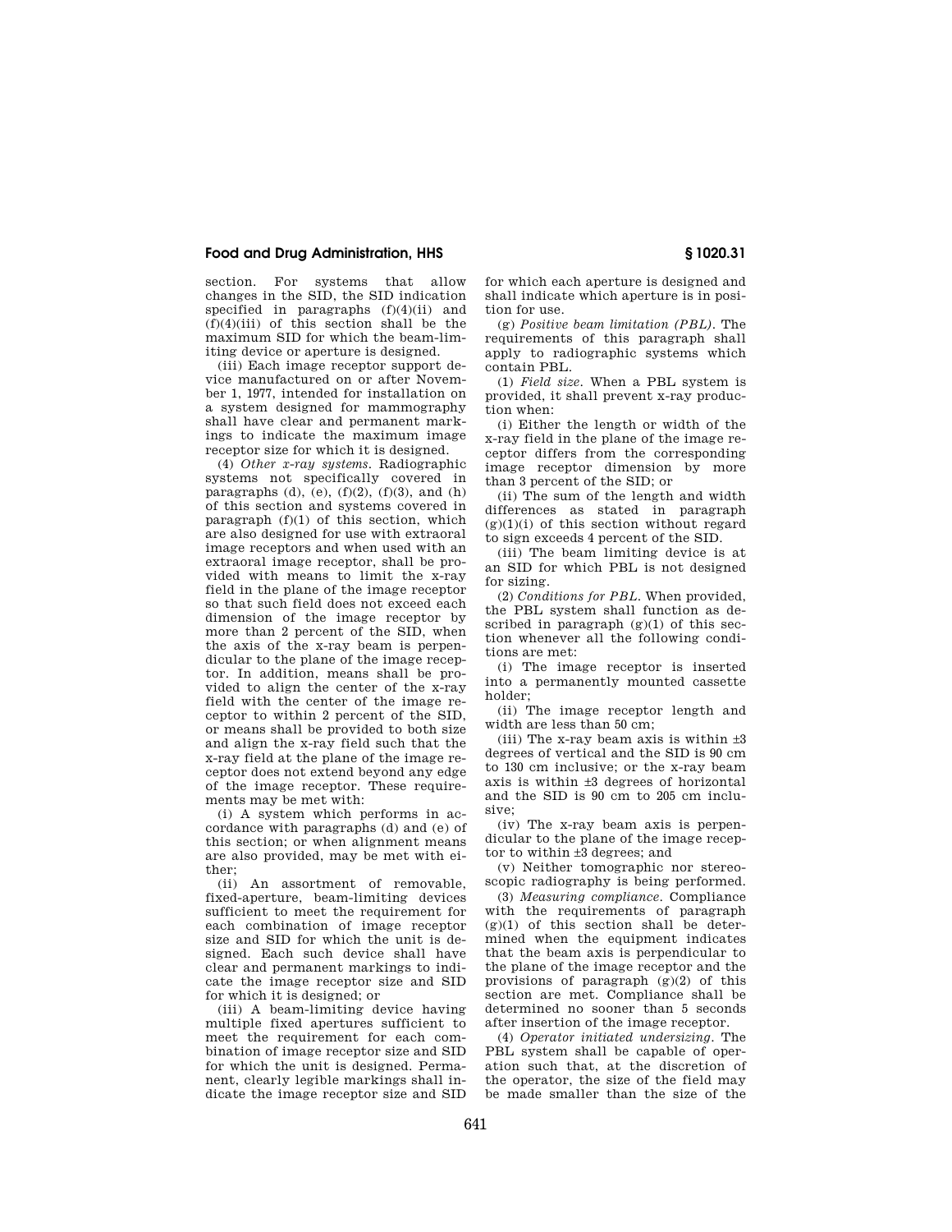section. For systems that allow changes in the SID, the SID indication specified in paragraphs  $(f)(4)(ii)$  and  $(f)(4)(iii)$  of this section shall be the maximum SID for which the beam-limiting device or aperture is designed.

(iii) Each image receptor support device manufactured on or after November 1, 1977, intended for installation on a system designed for mammography shall have clear and permanent markings to indicate the maximum image receptor size for which it is designed.

(4) *Other x-ray systems*. Radiographic systems not specifically covered in paragraphs (d), (e),  $(f)(2)$ ,  $(f)(3)$ , and  $(h)$ of this section and systems covered in paragraph (f)(1) of this section, which are also designed for use with extraoral image receptors and when used with an extraoral image receptor, shall be provided with means to limit the x-ray field in the plane of the image receptor so that such field does not exceed each dimension of the image receptor by more than 2 percent of the SID, when the axis of the x-ray beam is perpendicular to the plane of the image receptor. In addition, means shall be provided to align the center of the x-ray field with the center of the image receptor to within 2 percent of the SID, or means shall be provided to both size and align the x-ray field such that the x-ray field at the plane of the image receptor does not extend beyond any edge of the image receptor. These requirements may be met with:

(i) A system which performs in accordance with paragraphs (d) and (e) of this section; or when alignment means are also provided, may be met with either;

(ii) An assortment of removable, fixed-aperture, beam-limiting devices sufficient to meet the requirement for each combination of image receptor size and SID for which the unit is designed. Each such device shall have clear and permanent markings to indicate the image receptor size and SID for which it is designed; or

(iii) A beam-limiting device having multiple fixed apertures sufficient to meet the requirement for each combination of image receptor size and SID for which the unit is designed. Permanent, clearly legible markings shall indicate the image receptor size and SID for which each aperture is designed and shall indicate which aperture is in position for use.

(g) *Positive beam limitation (PBL)*. The requirements of this paragraph shall apply to radiographic systems which contain PBL.

(1) *Field size*. When a PBL system is provided, it shall prevent x-ray production when:

(i) Either the length or width of the x-ray field in the plane of the image receptor differs from the corresponding image receptor dimension by more than 3 percent of the SID; or

(ii) The sum of the length and width differences as stated in paragraph  $(g)(1)(i)$  of this section without regard to sign exceeds 4 percent of the SID.

(iii) The beam limiting device is at an SID for which PBL is not designed for sizing.

(2) *Conditions for PBL*. When provided, the PBL system shall function as described in paragraph  $(g)(1)$  of this section whenever all the following conditions are met:

(i) The image receptor is inserted into a permanently mounted cassette holder;

(ii) The image receptor length and width are less than 50 cm;

(iii) The x-ray beam axis is within  $\pm 3$ degrees of vertical and the SID is 90 cm to 130 cm inclusive; or the x-ray beam axis is within ±3 degrees of horizontal and the SID is 90 cm to 205 cm inclusive;

(iv) The x-ray beam axis is perpendicular to the plane of the image receptor to within ±3 degrees; and

(v) Neither tomographic nor stereoscopic radiography is being performed.

(3) *Measuring compliance*. Compliance with the requirements of paragraph  $(g)(1)$  of this section shall be determined when the equipment indicates that the beam axis is perpendicular to the plane of the image receptor and the provisions of paragraph  $(g)(2)$  of this section are met. Compliance shall be determined no sooner than 5 seconds after insertion of the image receptor.

(4) *Operator initiated undersizing*. The PBL system shall be capable of operation such that, at the discretion of the operator, the size of the field may be made smaller than the size of the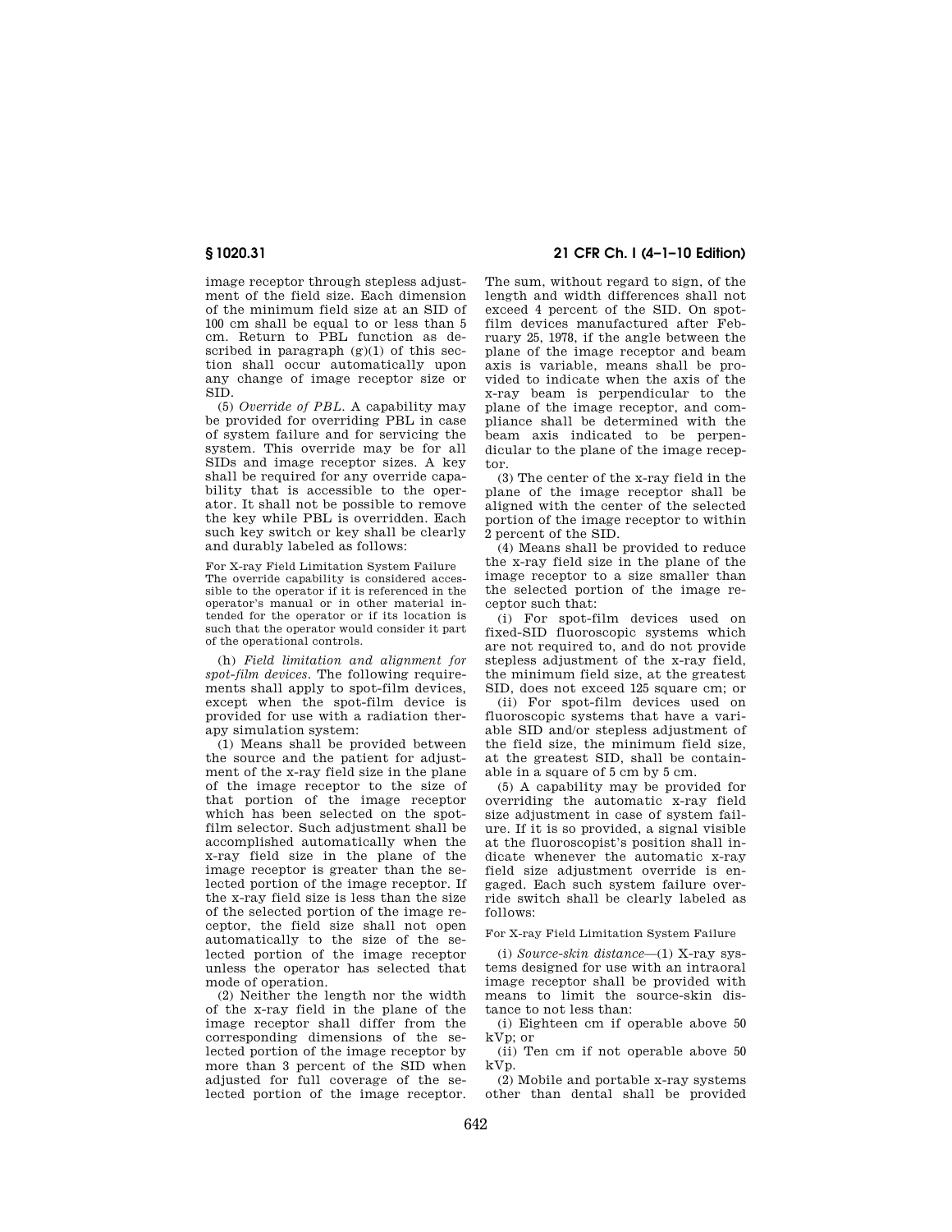image receptor through stepless adjustment of the field size. Each dimension of the minimum field size at an SID of 100 cm shall be equal to or less than 5 cm. Return to PBL function as described in paragraph  $(g)(1)$  of this section shall occur automatically upon any change of image receptor size or SID.

(5) *Override of PBL*. A capability may be provided for overriding PBL in case of system failure and for servicing the system. This override may be for all SIDs and image receptor sizes. A key shall be required for any override capability that is accessible to the operator. It shall not be possible to remove the key while PBL is overridden. Each such key switch or key shall be clearly and durably labeled as follows:

For X-ray Field Limitation System Failure The override capability is considered accessible to the operator if it is referenced in the operator's manual or in other material intended for the operator or if its location is such that the operator would consider it part of the operational controls.

(h) *Field limitation and alignment for spot-film devices*. The following requirements shall apply to spot-film devices, except when the spot-film device is provided for use with a radiation therapy simulation system:

(1) Means shall be provided between the source and the patient for adjustment of the x-ray field size in the plane of the image receptor to the size of that portion of the image receptor which has been selected on the spotfilm selector. Such adjustment shall be accomplished automatically when the x-ray field size in the plane of the image receptor is greater than the selected portion of the image receptor. If the x-ray field size is less than the size of the selected portion of the image receptor, the field size shall not open automatically to the size of the selected portion of the image receptor unless the operator has selected that mode of operation.

(2) Neither the length nor the width of the x-ray field in the plane of the image receptor shall differ from the corresponding dimensions of the selected portion of the image receptor by more than 3 percent of the SID when adjusted for full coverage of the selected portion of the image receptor.

# **§ 1020.31 21 CFR Ch. I (4–1–10 Edition)**

The sum, without regard to sign, of the length and width differences shall not exceed 4 percent of the SID. On spotfilm devices manufactured after February 25, 1978, if the angle between the plane of the image receptor and beam axis is variable, means shall be provided to indicate when the axis of the x-ray beam is perpendicular to the plane of the image receptor, and compliance shall be determined with the .<br>beam axis indicated to be perpendicular to the plane of the image receptor.

(3) The center of the x-ray field in the plane of the image receptor shall be aligned with the center of the selected portion of the image receptor to within 2 percent of the SID.

(4) Means shall be provided to reduce the x-ray field size in the plane of the image receptor to a size smaller than the selected portion of the image receptor such that:

(i) For spot-film devices used on fixed-SID fluoroscopic systems which are not required to, and do not provide stepless adjustment of the x-ray field, the minimum field size, at the greatest SID, does not exceed 125 square cm; or

(ii) For spot-film devices used on fluoroscopic systems that have a variable SID and/or stepless adjustment of the field size, the minimum field size, at the greatest SID, shall be containable in a square of 5 cm by 5 cm.

(5) A capability may be provided for overriding the automatic x-ray field size adjustment in case of system failure. If it is so provided, a signal visible at the fluoroscopist's position shall indicate whenever the automatic x-ray field size adjustment override is engaged. Each such system failure override switch shall be clearly labeled as follows:

For X-ray Field Limitation System Failure

(i) *Source-skin distance*—(1) X-ray systems designed for use with an intraoral image receptor shall be provided with means to limit the source-skin distance to not less than:

(i) Eighteen cm if operable above 50 kVp; or

(ii) Ten cm if not operable above 50 kVp.

(2) Mobile and portable x-ray systems other than dental shall be provided